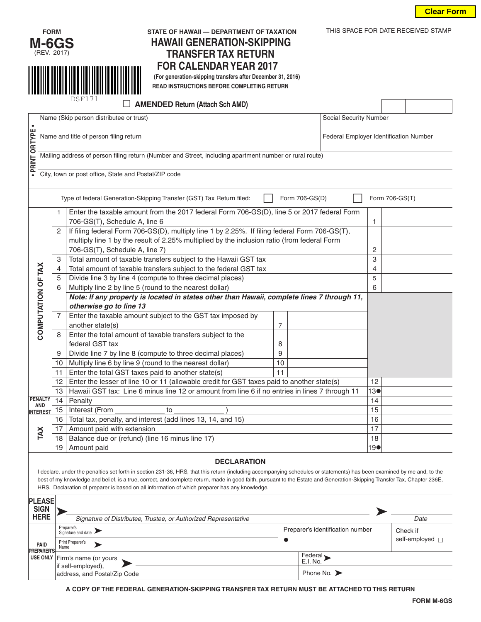



# **HAWAII GENERATION-SKIPPING TRANSFER TAX RETURN**

**FOR CALENDAR YEAR 2017**<br> **EXPLORE CALENDAR YEAR 2017**<br> **EXPLORED INSTRUCTIONS BEFORE COMPLETING RETURN**<br> **EXPLORED INSTRUCTIONS BEFORE COMPLETING RETURN READ INSTRUCTIONS BEFORE COMPLETING RETURN**

|                                                                                                          |                                                                   |                                                                                                        | DSF171<br><b>AMENDED Return (Attach Sch AMD)</b>                                                                            |                |  |  |             |  |                                        |  |  |  |
|----------------------------------------------------------------------------------------------------------|-------------------------------------------------------------------|--------------------------------------------------------------------------------------------------------|-----------------------------------------------------------------------------------------------------------------------------|----------------|--|--|-------------|--|----------------------------------------|--|--|--|
|                                                                                                          | Name (Skip person distributee or trust)<br>Social Security Number |                                                                                                        |                                                                                                                             |                |  |  |             |  |                                        |  |  |  |
|                                                                                                          |                                                                   |                                                                                                        |                                                                                                                             |                |  |  |             |  |                                        |  |  |  |
|                                                                                                          | Name and title of person filing return                            |                                                                                                        |                                                                                                                             |                |  |  |             |  | Federal Employer Identification Number |  |  |  |
| . PRINT OR TYPE                                                                                          |                                                                   | Mailing address of person filing return (Number and Street, including apartment number or rural route) |                                                                                                                             |                |  |  |             |  |                                        |  |  |  |
|                                                                                                          | City, town or post office, State and Postal/ZIP code              |                                                                                                        |                                                                                                                             |                |  |  |             |  |                                        |  |  |  |
| Type of federal Generation-Skipping Transfer (GST) Tax Return filed:<br>Form 706-GS(D)<br>Form 706-GS(T) |                                                                   |                                                                                                        |                                                                                                                             |                |  |  |             |  |                                        |  |  |  |
|                                                                                                          |                                                                   | 1                                                                                                      | Enter the taxable amount from the 2017 federal Form 706-GS(D), line 5 or 2017 federal Form<br>706-GS(T), Schedule A, line 6 |                |  |  | 1           |  |                                        |  |  |  |
|                                                                                                          |                                                                   | 2                                                                                                      | If filing federal Form 706-GS(D), multiply line 1 by 2.25%. If filing federal Form 706-GS(T),                               |                |  |  |             |  |                                        |  |  |  |
|                                                                                                          |                                                                   |                                                                                                        | multiply line 1 by the result of 2.25% multiplied by the inclusion ratio (from federal Form                                 |                |  |  |             |  |                                        |  |  |  |
|                                                                                                          |                                                                   |                                                                                                        | 706-GS(T), Schedule A, line 7)                                                                                              | 2              |  |  |             |  |                                        |  |  |  |
|                                                                                                          |                                                                   | 3                                                                                                      | Total amount of taxable transfers subject to the Hawaii GST tax                                                             |                |  |  |             |  |                                        |  |  |  |
|                                                                                                          |                                                                   | 4                                                                                                      | Total amount of taxable transfers subject to the federal GST tax                                                            |                |  |  |             |  |                                        |  |  |  |
|                                                                                                          |                                                                   | 5                                                                                                      | Divide line 3 by line 4 (compute to three decimal places)                                                                   |                |  |  |             |  |                                        |  |  |  |
|                                                                                                          |                                                                   | 6                                                                                                      | Multiply line 2 by line 5 (round to the nearest dollar)                                                                     |                |  |  | 6           |  |                                        |  |  |  |
|                                                                                                          |                                                                   |                                                                                                        | Note: If any property is located in states other than Hawaii, complete lines 7 through 11,                                  |                |  |  |             |  |                                        |  |  |  |
|                                                                                                          |                                                                   |                                                                                                        | otherwise go to line 13                                                                                                     |                |  |  |             |  |                                        |  |  |  |
|                                                                                                          | COMPUTATION OF TAX                                                | $\overline{7}$                                                                                         | Enter the taxable amount subject to the GST tax imposed by                                                                  |                |  |  |             |  |                                        |  |  |  |
|                                                                                                          |                                                                   |                                                                                                        | another state(s)                                                                                                            | $\overline{7}$ |  |  |             |  |                                        |  |  |  |
|                                                                                                          |                                                                   | 8                                                                                                      | Enter the total amount of taxable transfers subject to the                                                                  |                |  |  |             |  |                                        |  |  |  |
|                                                                                                          |                                                                   |                                                                                                        | federal GST tax                                                                                                             | 8              |  |  |             |  |                                        |  |  |  |
|                                                                                                          |                                                                   | 9                                                                                                      | Divide line 7 by line 8 (compute to three decimal places)                                                                   | 9              |  |  |             |  |                                        |  |  |  |
|                                                                                                          |                                                                   | 10                                                                                                     | Multiply line 6 by line 9 (round to the nearest dollar)                                                                     | 10             |  |  |             |  |                                        |  |  |  |
|                                                                                                          |                                                                   | 11                                                                                                     | Enter the total GST taxes paid to another state(s)                                                                          | 11             |  |  |             |  |                                        |  |  |  |
|                                                                                                          |                                                                   | 12                                                                                                     | Enter the lesser of line 10 or 11 (allowable credit for GST taxes paid to another state(s)                                  |                |  |  |             |  |                                        |  |  |  |
|                                                                                                          |                                                                   | 13                                                                                                     | Hawaii GST tax: Line 6 minus line 12 or amount from line 6 if no entries in lines 7 through 11                              | 13●            |  |  |             |  |                                        |  |  |  |
|                                                                                                          | <b>PENALTY</b><br>14<br>Penalty<br><b>AND</b>                     |                                                                                                        |                                                                                                                             |                |  |  |             |  |                                        |  |  |  |
|                                                                                                          | <b>INTEREST</b>                                                   | 15                                                                                                     | Interest (From<br>to                                                                                                        | 15             |  |  |             |  |                                        |  |  |  |
|                                                                                                          |                                                                   | 16                                                                                                     | Total tax, penalty, and interest (add lines 13, 14, and 15)                                                                 | 16             |  |  |             |  |                                        |  |  |  |
|                                                                                                          | TAX                                                               | 17                                                                                                     | Amount paid with extension                                                                                                  |                |  |  |             |  |                                        |  |  |  |
|                                                                                                          |                                                                   | 18                                                                                                     | Balance due or (refund) (line 16 minus line 17)                                                                             |                |  |  |             |  |                                        |  |  |  |
|                                                                                                          |                                                                   | 19                                                                                                     | Amount paid                                                                                                                 |                |  |  | $19\bullet$ |  |                                        |  |  |  |
| <b>DECLARATION</b>                                                                                       |                                                                   |                                                                                                        |                                                                                                                             |                |  |  |             |  |                                        |  |  |  |

### I declare, under the penalties set forth in section 231-36, HRS, that this return (including accompanying schedules or statements) has been examined by me and, to the best of my knowledge and belief, is a true, correct, and complete return, made in good faith, pursuant to the Estate and Generation-Skipping Transfer Tax, Chapter 236E, HRS. Declaration of preparer is based on all information of which preparer has any knowledge.

| <b>PLEASE</b><br><b>SIGN</b> |                                                                 |                     |                                  |          |
|------------------------------|-----------------------------------------------------------------|---------------------|----------------------------------|----------|
| <b>HERE</b>                  | Signature of Distributee, Trustee, or Authorized Representative |                     | Date                             |          |
|                              | Preparer's<br>Signature and date                                |                     | Preparer's identification number | Check if |
| PAID<br><b>PREPARER'S</b>    | Print Preparer's<br>Name                                        |                     | self-employed $\Box$             |          |
|                              | USE ONLY Firm's name (or yours<br>if self-employed),            | Federal<br>E.I. No. |                                  |          |
|                              | address, and Postal/Zip Code                                    |                     | Phone No. $\blacktriangleright$  |          |

**A COPY OF THE FEDERAL GENERATION-SKIPPING TRANSFER TAX RETURN MUST BE ATTACHED TO THIS RETURN**